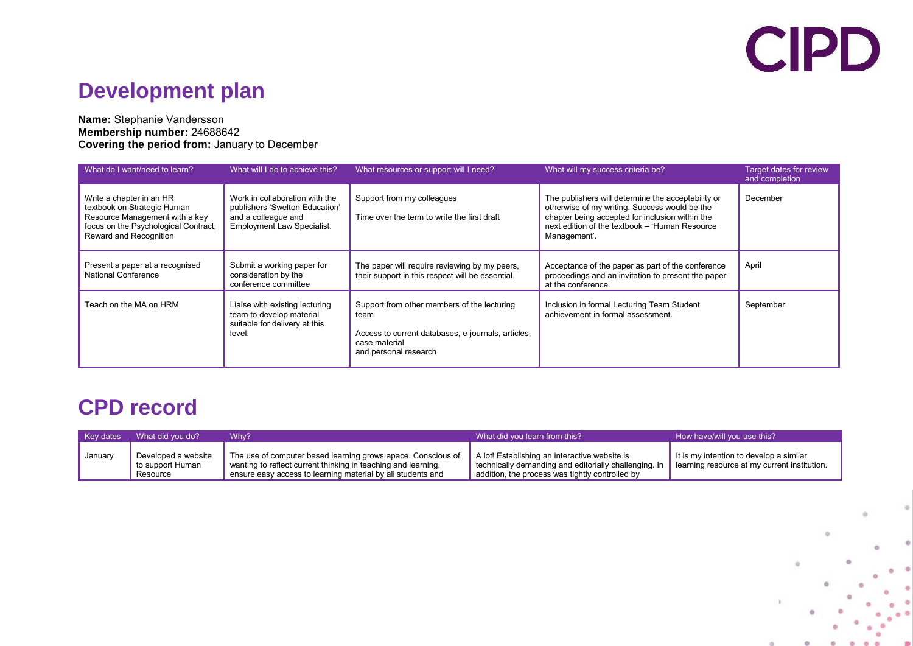## **CIPD**

## **Development plan**

#### **Name:** Stephanie Vandersson **Membership number:** 24688642 **Covering the period from:** January to December

| What do I want/need to learn?                                                                                                                               | What will I do to achieve this?                                                                                              | What resources or support will I need?                                                                                                              | What will my success criteria be?                                                                                                                                                                                        | <b>Target dates for review</b><br>and completion |
|-------------------------------------------------------------------------------------------------------------------------------------------------------------|------------------------------------------------------------------------------------------------------------------------------|-----------------------------------------------------------------------------------------------------------------------------------------------------|--------------------------------------------------------------------------------------------------------------------------------------------------------------------------------------------------------------------------|--------------------------------------------------|
| Write a chapter in an HR<br>textbook on Strategic Human<br>Resource Management with a key<br>focus on the Psychological Contract.<br>Reward and Recognition | Work in collaboration with the<br>publishers 'Swelton Education'<br>and a colleague and<br><b>Employment Law Specialist.</b> | Support from my colleagues<br>Time over the term to write the first draft                                                                           | The publishers will determine the acceptability or<br>otherwise of my writing. Success would be the<br>chapter being accepted for inclusion within the<br>next edition of the textbook - 'Human Resource<br>Management'. | December                                         |
| Present a paper at a recognised<br><b>National Conference</b>                                                                                               | Submit a working paper for<br>consideration by the<br>conference committee                                                   | The paper will require reviewing by my peers,<br>their support in this respect will be essential.                                                   | Acceptance of the paper as part of the conference<br>proceedings and an invitation to present the paper<br>at the conference.                                                                                            | April                                            |
| Teach on the MA on HRM                                                                                                                                      | Liaise with existing lecturing<br>team to develop material<br>suitable for delivery at this<br>level.                        | Support from other members of the lecturing<br>team<br>Access to current databases, e-journals, articles,<br>case material<br>and personal research | Inclusion in formal Lecturing Team Student<br>achievement in formal assessment.                                                                                                                                          | September                                        |

### **CPD record**

| <b>Key dates</b> | What did you do?                                     | Why?                                                                                                                                                                                         | What did you learn from this?                                                                                                                             | How have/will you use this?                                                             |
|------------------|------------------------------------------------------|----------------------------------------------------------------------------------------------------------------------------------------------------------------------------------------------|-----------------------------------------------------------------------------------------------------------------------------------------------------------|-----------------------------------------------------------------------------------------|
| January          | Developed a website<br>'to support Human<br>Resource | The use of computer based learning grows apace. Conscious of<br>wanting to reflect current thinking in teaching and learning.<br>ensure easy access to learning material by all students and | A lot! Establishing an interactive website is<br>technically demanding and editorially challenging. In<br>addition, the process was tightly controlled by | It is my intention to develop a similar<br>learning resource at my current institution. |